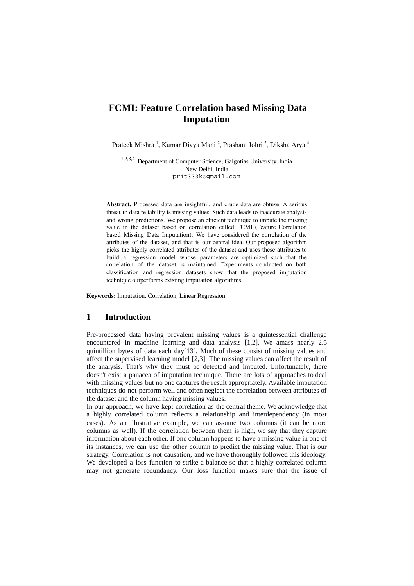# **FCMI: Feature Correlation based Missing Data Imputation**

Prateek Mishra <sup>1</sup>, Kumar Divya Mani <sup>2</sup>, Prashant Johri <sup>3</sup>, Diksha Arya <sup>4</sup>

1,2,3,4 Department of Computer Science, Galgotias University, India New Delhi, India pr4t333k@gmail.com

**Abstract.** Processed data are insightful, and crude data are obtuse. A serious threat to data reliability is missing values. Such data leads to inaccurate analysis and wrong predictions. We propose an efficient technique to impute the missing value in the dataset based on correlation called FCMI (Feature Correlation based Missing Data Imputation). We have considered the correlation of the attributes of the dataset, and that is our central idea. Our proposed algorithm picks the highly correlated attributes of the dataset and uses these attributes to build a regression model whose parameters are optimized such that the correlation of the dataset is maintained. Experiments conducted on both classification and regression datasets show that the proposed imputation technique outperforms existing imputation algorithms.

**Keywords:** Imputation, Correlation, Linear Regression.

#### **1 Introduction**

Pre-processed data having prevalent missing values is a quintessential challenge encountered in machine learning and data analysis [1,2]. We amass nearly 2.5 quintillion bytes of data each day[13]. Much of these consist of missing values and affect the supervised learning model [2,3]. The missing values can affect the result of the analysis. That's why they must be detected and imputed. Unfortunately, there doesn't exist a panacea of imputation technique. There are lots of approaches to deal with missing values but no one captures the result appropriately. Available imputation techniques do not perform well and often neglect the correlation between attributes of the dataset and the column having missing values.

In our approach, we have kept correlation as the central theme. We acknowledge that a highly correlated column reflects a relationship and interdependency (in most cases). As an illustrative example, we can assume two columns (it can be more columns as well). If the correlation between them is high, we say that they capture information about each other. If one column happens to have a missing value in one of its instances, we can use the other column to predict the missing value. That is our strategy. Correlation is not causation, and we have thoroughly followed this ideology. We developed a loss function to strike a balance so that a highly correlated column may not generate redundancy. Our loss function makes sure that the issue of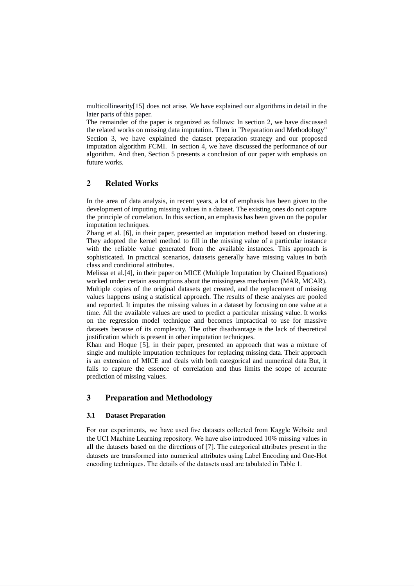multicollinearity[15] does not arise. We have explained our algorithms in detail in the later parts of this paper.

The remainder of the paper is organized as follows: In section 2, we have discussed the related works on missing data imputation. Then in "Preparation and Methodology" Section 3, we have explained the dataset preparation strategy and our proposed imputation algorithm FCMI. In section 4, we have discussed the performance of our algorithm. And then, Section 5 presents a conclusion of our paper with emphasis on future works.

## **2 Related Works**

In the area of data analysis, in recent years, a lot of emphasis has been given to the development of imputing missing values in a dataset. The existing ones do not capture the principle of correlation. In this section, an emphasis has been given on the popular imputation techniques.

Zhang et al. [6], in their paper, presented an imputation method based on clustering. They adopted the kernel method to fill in the missing value of a particular instance with the reliable value generated from the available instances. This approach is sophisticated. In practical scenarios, datasets generally have missing values in both class and conditional attributes.

Melissa et al.[4], in their paper on MICE (Multiple Imputation by Chained Equations) worked under certain assumptions about the missingness mechanism (MAR, MCAR). Multiple copies of the original datasets get created, and the replacement of missing values happens using a statistical approach. The results of these analyses are pooled and reported. It imputes the missing values in a dataset by focusing on one value at a time. All the available values are used to predict a particular missing value. It works on the regression model technique and becomes impractical to use for massive datasets because of its complexity. The other disadvantage is the lack of theoretical justification which is present in other imputation techniques.

Khan and Hoque [5], in their paper, presented an approach that was a mixture of single and multiple imputation techniques for replacing missing data. Their approach is an extension of MICE and deals with both categorical and numerical data But, it fails to capture the essence of correlation and thus limits the scope of accurate prediction of missing values.

# **3 Preparation and Methodology**

#### **3.1 Dataset Preparation**

For our experiments, we have used five datasets collected from Kaggle Website and the UCI Machine Learning repository. We have also introduced 10% missing values in all the datasets based on the directions of [7]. The categorical attributes present in the datasets are transformed into numerical attributes using Label Encoding and One-Hot encoding techniques. The details of the datasets used are tabulated in Table 1.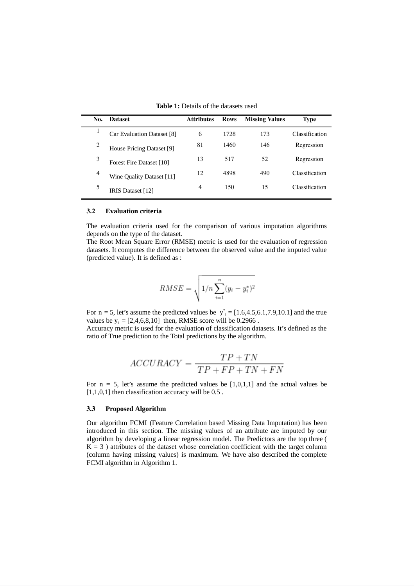| No. | <b>Dataset</b>                   | <b>Attributes</b> | <b>Rows</b> | <b>Missing Values</b> | Type           |
|-----|----------------------------------|-------------------|-------------|-----------------------|----------------|
|     | Car Evaluation Dataset [8]       | 6                 | 1728        | 173                   | Classification |
| 2   | House Pricing Dataset [9]        | 81                | 1460        | 146                   | Regression     |
| 3   | Forest Fire Dataset [10]         | 13                | 517         | 52                    | Regression     |
| 4   | <b>Wine Quality Dataset [11]</b> | 12                | 4898        | 490                   | Classification |
|     | IRIS Dataset [12]                | 4                 | 150         | 15                    | Classification |

**Table 1:** Details of the datasets used

#### **3.2 Evaluation criteria**

The evaluation criteria used for the comparison of various imputation algorithms depends on the type of the dataset.

The Root Mean Square Error (RMSE) metric is used for the evaluation of regression datasets. It computes the difference between the observed value and the imputed value (predicted value). It is defined as :

$$
RMSE = \sqrt{1/n \sum_{i=1}^{n} (y_i - y_i^*)^2}
$$

For  $n = 5$ , let's assume the predicted values be  $y_{i}^{*} = [1.6, 4.5, 6.1, 7.9, 10.1]$  and the true values be  $y_i = [2, 4, 6, 8, 10]$  then, RMSE score will be 0.2966.

Accuracy metric is used for the evaluation of classification datasets. It's defined as the ratio of True prediction to the Total predictions by the algorithm.

$$
ACCURACY = \frac{TP + TN}{TP + FP + TN + FN}
$$

For  $n = 5$ , let's assume the predicted values be [1,0,1,1] and the actual values be  $[1,1,0,1]$  then classification accuracy will be  $0.5$ .

#### **3.3 Proposed Algorithm**

Our algorithm FCMI (Feature Correlation based Missing Data Imputation) has been introduced in this section. The missing values of an attribute are imputed by our algorithm by developing a linear regression model. The Predictors are the top three (  $K = 3$ ) attributes of the dataset whose correlation coefficient with the target column (column having missing values) is maximum. We have also described the complete FCMI algorithm in Algorithm 1.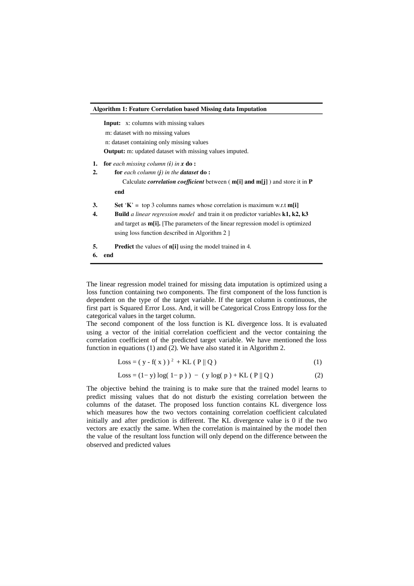| <b>Algorithm 1: Feature Correlation based Missing data Imputation</b> |                                                                                                                                                                                                                                                                                                                |  |  |
|-----------------------------------------------------------------------|----------------------------------------------------------------------------------------------------------------------------------------------------------------------------------------------------------------------------------------------------------------------------------------------------------------|--|--|
|                                                                       | <b>Input:</b> x: columns with missing values<br>m: dataset with no missing values<br>n: dataset containing only missing values<br><b>Output:</b> m: updated dataset with missing values imputed.                                                                                                               |  |  |
| 1.<br>2.                                                              | <b>for</b> each missing column $(i)$ in $x$ <b>do</b> :<br><b>for</b> each column $(i)$ in the <b>dataset do</b> :<br>Calculate <i>correlation coefficient</i> between $(m[i]$ and $m[j]$ and store it in $P$<br>end                                                                                           |  |  |
| 3.<br>4.                                                              | Set 'K' = top 3 columns names whose correlation is maximum w.r.t $m[i]$<br><b>Build</b> a linear regression model and train it on predictor variables <b>k1, k2, k3</b><br>and target as $m[i]$ . The parameters of the linear regression model is optimized<br>using loss function described in Algorithm 2 ] |  |  |
| 5.<br>6.                                                              | <b>Predict</b> the values of <b>n</b> [i] using the model trained in 4.<br>end                                                                                                                                                                                                                                 |  |  |

The linear regression model trained for missing data imputation is optimized using a loss function containing two components. The first component of the loss function is dependent on the type of the target variable. If the target column is continuous, the first part is Squared Error Loss. And, it will be Categorical Cross Entropy loss for the categorical values in the target column.

The second component of the loss function is KL divergence loss. It is evaluated using a vector of the initial correlation coefficient and the vector containing the correlation coefficient of the predicted target variable. We have mentioned the loss function in equations (1) and (2). We have also stated it in Algorithm 2.

$$
Loss = (y - f(x))^2 + KL(P || Q)
$$
 (1)

$$
Loss = (1 - y) log(1 - p)) - (y log(p) + KL (P || Q)
$$
 (2)

The objective behind the training is to make sure that the trained model learns to predict missing values that do not disturb the existing correlation between the columns of the dataset. The proposed loss function contains KL divergence loss which measures how the two vectors containing correlation coefficient calculated initially and after prediction is different. The KL divergence value is 0 if the two vectors are exactly the same. When the correlation is maintained by the model then the value of the resultant loss function will only depend on the difference between the observed and predicted values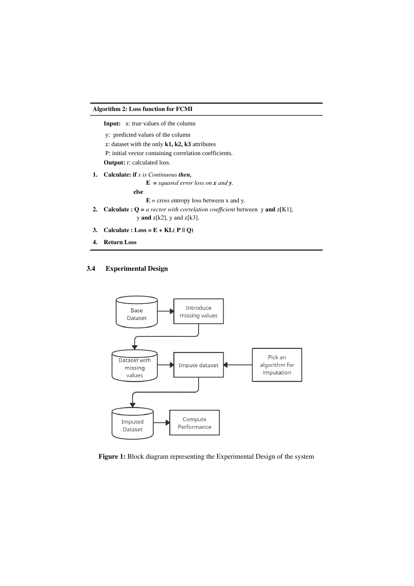#### **Algorithm 2: Loss function for FCMI**

 **Input:** x: true values of the column

- y: predicted values of the column
- z: dataset with the only **k1, k2, k3** attributes

P: initial vector containing correlation coefficients.

 **Output:** r: calculated loss.

**1. Calculate: if** *x is Continuous then,*

 $E =$  *squared error loss on x and y*.

**else**

 $E = \text{cross entropy loss between } x \text{ and } y.$ 

- **2. Calculate** :  $Q = a$  *vector with correlation coefficient* between y and  $z[K1]$ , y **and** z[k2], y and z[k3].
- **3. Calculate :**  $\textbf{Loss} = \textbf{E} + \textbf{KL}(\textbf{P} \parallel \textbf{Q})$
- **4. Return Loss**

### **3.4 Experimental Design**



**Figure 1:** Block diagram representing the Experimental Design of the system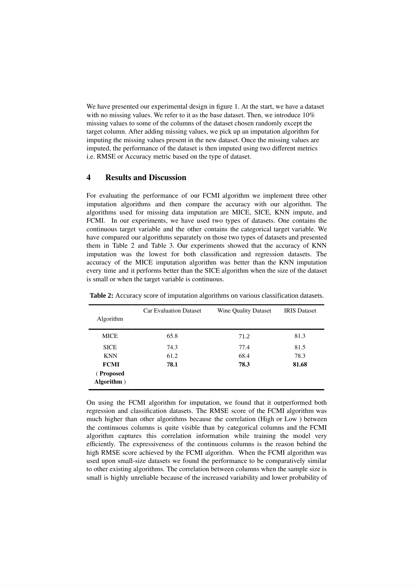We have presented our experimental design in figure 1. At the start, we have a dataset with no missing values. We refer to it as the base dataset. Then, we introduce  $10\%$ missing values to some of the columns of the dataset chosen randomly except the target column. After adding missing values, we pick up an imputation algorithm for imputing the missing values present in the new dataset. Once the missing values are imputed, the performance of the dataset is then imputed using two different metrics i.e. RMSE or Accuracy metric based on the type of dataset.

### **4 Results and Discussion**

For evaluating the performance of our FCMI algorithm we implement three other imputation algorithms and then compare the accuracy with our algorithm. The algorithms used for missing data imputation are MICE, SICE, KNN impute, and FCMI. In our experiments, we have used two types of datasets. One contains the continuous target variable and the other contains the categorical target variable. We have compared our algorithms separately on those two types of datasets and presented them in Table 2 and Table 3. Our experiments showed that the accuracy of KNN imputation was the lowest for both classification and regression datasets. The accuracy of the MICE imputation algorithm was better than the KNN imputation every time and it performs better than the SICE algorithm when the size of the dataset is small or when the target variable is continuous.

|                                         | <b>Car Evaluation Dataset</b> | <b>Wine Quality Dataset</b> | <b>IRIS</b> Dataset |
|-----------------------------------------|-------------------------------|-----------------------------|---------------------|
| Algorithm                               |                               |                             |                     |
| <b>MICE</b>                             | 65.8                          | 71.2                        | 81.3                |
| <b>SICE</b>                             | 74.3                          | 77.4                        | 81.5                |
| <b>KNN</b>                              | 61.2                          | 68.4                        | 78.3                |
| <b>FCMI</b><br>(Proposed<br>Algorithm ) | 78.1                          | 78.3                        | 81.68               |

**Table 2:** Accuracy score of imputation algorithms on various classification datasets.

On using the FCMI algorithm for imputation, we found that it outperformed both regression and classification datasets. The RMSE score of the FCMI algorithm was much higher than other algorithms because the correlation (High or Low ) between the continuous columns is quite visible than by categorical columns and the FCMI algorithm captures this correlation information while training the model very efficiently. The expressiveness of the continuous columns is the reason behind the high RMSE score achieved by the FCMI algorithm. When the FCMI algorithm was used upon small-size datasets we found the performance to be comparatively similar to other existing algorithms. The correlation between columns when the sample size is small is highly unreliable because of the increased variability and lower probability of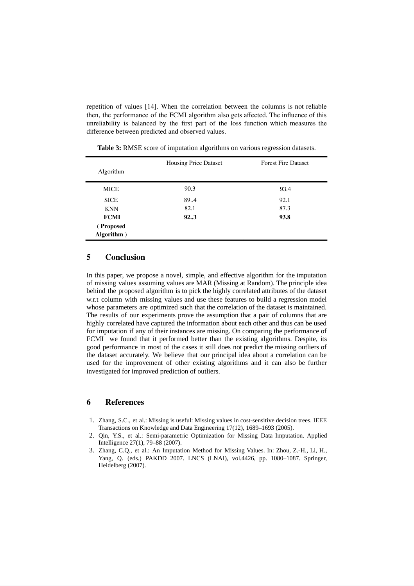repetition of values [14]. When the correlation between the columns is not reliable then, the performance of the FCMI algorithm also gets affected. The influence of this unreliability is balanced by the first part of the loss function which measures the difference between predicted and observed values.

| Algorithm   | <b>Housing Price Dataset</b> | <b>Forest Fire Dataset</b> |
|-------------|------------------------------|----------------------------|
| <b>MICE</b> | 90.3                         | 93.4                       |
| <b>SICE</b> | 89.4                         | 92.1                       |
| <b>KNN</b>  | 82.1                         | 87.3                       |
| <b>FCMI</b> | 923                          | 93.8                       |
| (Proposed   |                              |                            |
| Algorithm ) |                              |                            |

**Table 3:** RMSE score of imputation algorithms on various regression datasets.

### **5 Conclusion**

In this paper, we propose a novel, simple, and effective algorithm for the imputation of missing values assuming values are MAR (Missing at Random). The principle idea behind the proposed algorithm is to pick the highly correlated attributes of the dataset w.r.t column with missing values and use these features to build a regression model whose parameters are optimized such that the correlation of the dataset is maintained. The results of our experiments prove the assumption that a pair of columns that are highly correlated have captured the information about each other and thus can be used for imputation if any of their instances are missing. On comparing the performance of FCMI we found that it performed better than the existing algorithms. Despite, its good performance in most of the cases it still does not predict the missing outliers of the dataset accurately. We believe that our principal idea about a correlation can be used for the improvement of other existing algorithms and it can also be further investigated for improved prediction of outliers.

### **6 References**

- 1. Zhang, S.C., et al.: Missing is useful: Missing values in cost-sensitive decision trees. IEEE Transactions on Knowledge and Data Engineering 17(12), 1689–1693 (2005).
- 2. Qin, Y.S., et al.: Semi-parametric Optimization for Missing Data Imputation. Applied Intelligence 27(1), 79–88 (2007).
- 3. Zhang, C.Q., et al.: An Imputation Method for Missing Values. In: Zhou, Z.-H., Li, H., Yang, Q. (eds.) PAKDD 2007. LNCS (LNAI), vol.4426, pp. 1080–1087. Springer, Heidelberg (2007).